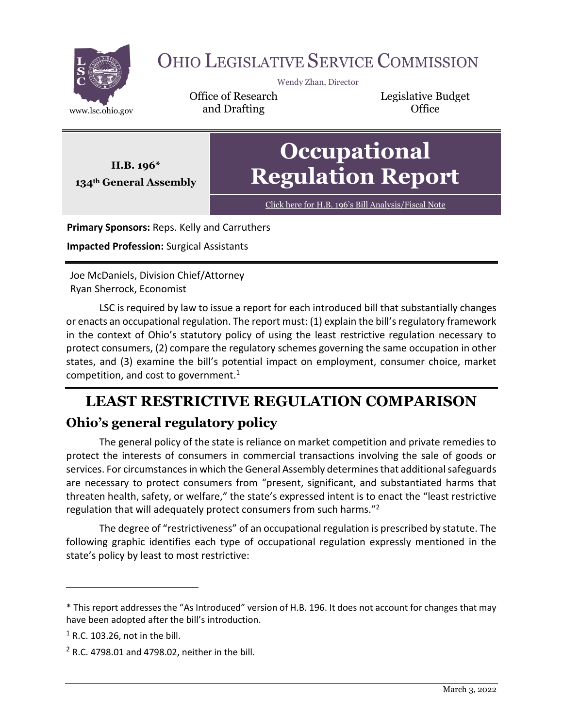

# OHIO LEGISLATIVE SERVICE COMMISSION

Wendy Zhan, Director

Office of Research www.lsc.ohio.gov **and Drafting Construction Office** 

Legislative Budget

**Occupational Regulation Report**

Click here for H.B. 196'[s Bill Analysis/Fiscal Note](https://www.legislature.ohio.gov/legislation/legislation-documents?id=GA134-HB-196)

**Primary Sponsors:** Reps. Kelly and Carruthers

**Impacted Profession:** Surgical Assistants

**H.B. 196\* 134th General Assembly**

Joe McDaniels, Division Chief/Attorney Ryan Sherrock, Economist

LSC is required by law to issue a report for each introduced bill that substantially changes or enacts an occupational regulation. The report must: (1) explain the bill's regulatory framework in the context of Ohio's statutory policy of using the least restrictive regulation necessary to protect consumers, (2) compare the regulatory schemes governing the same occupation in other states, and (3) examine the bill's potential impact on employment, consumer choice, market competition, and cost to government.<sup>1</sup>

# **LEAST RESTRICTIVE REGULATION COMPARISON Ohio's general regulatory policy**

The general policy of the state is reliance on market competition and private remedies to protect the interests of consumers in commercial transactions involving the sale of goods or services. For circumstances in which the General Assembly determines that additional safeguards are necessary to protect consumers from "present, significant, and substantiated harms that threaten health, safety, or welfare," the state's expressed intent is to enact the "least restrictive regulation that will adequately protect consumers from such harms."<sup>2</sup>

The degree of "restrictiveness" of an occupational regulation is prescribed by statute. The following graphic identifies each type of occupational regulation expressly mentioned in the state's policy by least to most restrictive:

<sup>\*</sup> This report addresses the "As Introduced" version of H.B. 196. It does not account for changes that may have been adopted after the bill's introduction.

 $<sup>1</sup>$  R.C. 103.26, not in the bill.</sup>

 $2$  R.C. 4798.01 and 4798.02, neither in the bill.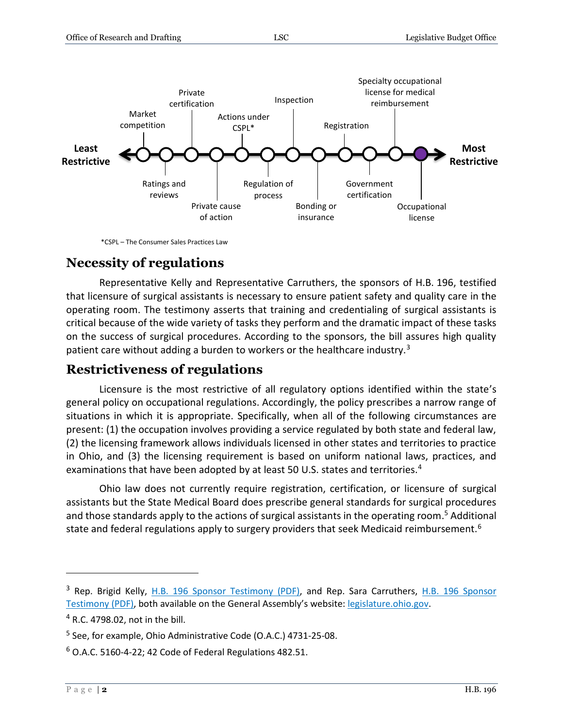

\*CSPL – The Consumer Sales Practices Law

#### **Necessity of regulations**

Representative Kelly and Representative Carruthers, the sponsors of H.B. 196, testified that licensure of surgical assistants is necessary to ensure patient safety and quality care in the operating room. The testimony asserts that training and credentialing of surgical assistants is critical because of the wide variety of tasks they perform and the dramatic impact of these tasks on the success of surgical procedures. According to the sponsors, the bill assures high quality patient care without adding a burden to workers or the healthcare industry. $3$ 

#### **Restrictiveness of regulations**

Licensure is the most restrictive of all regulatory options identified within the state's general policy on occupational regulations. Accordingly, the policy prescribes a narrow range of situations in which it is appropriate. Specifically, when all of the following circumstances are present: (1) the occupation involves providing a service regulated by both state and federal law, (2) the licensing framework allows individuals licensed in other states and territories to practice in Ohio, and (3) the licensing requirement is based on uniform national laws, practices, and examinations that have been adopted by at least 50 U.S. states and territories.<sup>4</sup>

Ohio law does not currently require registration, certification, or licensure of surgical assistants but the State Medical Board does prescribe general standards for surgical procedures and those standards apply to the actions of surgical assistants in the operating room. <sup>5</sup> Additional state and federal regulations apply to surgery providers that seek Medicaid reimbursement.<sup>6</sup>

<sup>&</sup>lt;sup>3</sup> Rep. Brigid Kelly, [H.B. 196 Sponsor Testimony \(PDF\),](https://search-prod.lis.state.oh.us/cm_pub_api/api/unwrap/chamber/134th_ga/ready_for_publication/committee_docs/cmte_h_health_1/testimony/cmte_h_health_1_2021-04-20-1100_407/hb196repkellysponsor-copy1.pdf) and Rep. Sara Carruthers, H.B. 196 Sponsor [Testimony \(PDF\),](https://search-prod.lis.state.oh.us/cm_pub_api/api/unwrap/chamber/134th_ga/ready_for_publication/committee_docs/cmte_h_health_1/testimony/cmte_h_health_1_2021-04-20-1100_407/hb196repcarrutherssponsor.pdf) both available on the General Assembly's website: [legislature.ohio.gov.](file://///Ohio/bill%20files/Research%20Processing/Occupational%20Regulation%20Reports.134/legislature.ohio.gov)

<sup>4</sup> R.C. 4798.02, not in the bill.

<sup>&</sup>lt;sup>5</sup> See, for example, Ohio Administrative Code (O.A.C.) 4731-25-08.

 $6$  O.A.C. 5160-4-22; 42 Code of Federal Regulations 482.51.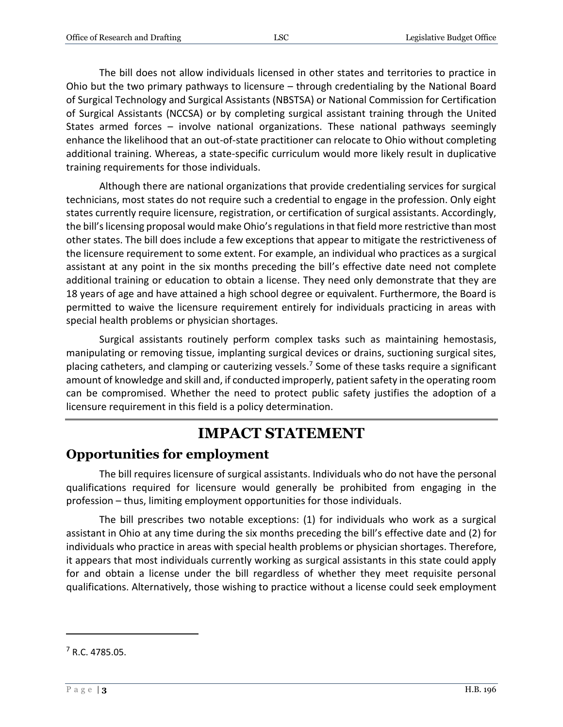The bill does not allow individuals licensed in other states and territories to practice in Ohio but the two primary pathways to licensure – through credentialing by the National Board of Surgical Technology and Surgical Assistants (NBSTSA) or National Commission for Certification of Surgical Assistants (NCCSA) or by completing surgical assistant training through the United States armed forces – involve national organizations. These national pathways seemingly enhance the likelihood that an out-of-state practitioner can relocate to Ohio without completing additional training. Whereas, a state-specific curriculum would more likely result in duplicative training requirements for those individuals.

Although there are national organizations that provide credentialing services for surgical technicians, most states do not require such a credential to engage in the profession. Only eight states currently require licensure, registration, or certification of surgical assistants. Accordingly, the bill's licensing proposal would make Ohio's regulations in that field more restrictive than most other states. The bill does include a few exceptions that appear to mitigate the restrictiveness of the licensure requirement to some extent. For example, an individual who practices as a surgical assistant at any point in the six months preceding the bill's effective date need not complete additional training or education to obtain a license. They need only demonstrate that they are 18 years of age and have attained a high school degree or equivalent. Furthermore, the Board is permitted to waive the licensure requirement entirely for individuals practicing in areas with special health problems or physician shortages.

Surgical assistants routinely perform complex tasks such as maintaining hemostasis, manipulating or removing tissue, implanting surgical devices or drains, suctioning surgical sites, placing catheters, and clamping or cauterizing vessels.<sup>7</sup> Some of these tasks require a significant amount of knowledge and skill and, if conducted improperly, patient safety in the operating room can be compromised. Whether the need to protect public safety justifies the adoption of a licensure requirement in this field is a policy determination.

### **IMPACT STATEMENT**

### **Opportunities for employment**

The bill requires licensure of surgical assistants. Individuals who do not have the personal qualifications required for licensure would generally be prohibited from engaging in the profession – thus, limiting employment opportunities for those individuals.

The bill prescribes two notable exceptions: (1) for individuals who work as a surgical assistant in Ohio at any time during the six months preceding the bill's effective date and (2) for individuals who practice in areas with special health problems or physician shortages. Therefore, it appears that most individuals currently working as surgical assistants in this state could apply for and obtain a license under the bill regardless of whether they meet requisite personal qualifications. Alternatively, those wishing to practice without a license could seek employment

<sup>7</sup> R.C. 4785.05.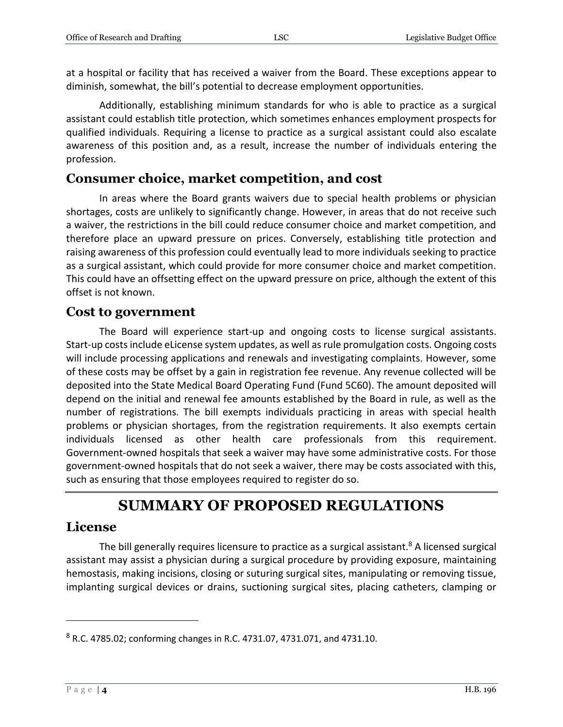at a hospital or facility that has received a waiver from the Board. These exceptions appear to diminish, somewhat, the bill's potential to decrease employment opportunities.

Additionally, establishing minimum standards for who is able to practice as a surgical assistant could establish title protection, which sometimes enhances employment prospects for qualified individuals. Requiring a license to practice as a surgical assistant could also escalate awareness of this position and, as a result, increase the number of individuals entering the profession.

#### **Consumer choice, market competition, and cost**

In areas where the Board grants waivers due to special health problems or physician shortages, costs are unlikely to significantly change. However, in areas that do not receive such a waiver, the restrictions in the bill could reduce consumer choice and market competition, and therefore place an upward pressure on prices. Conversely, establishing title protection and raising awareness of this profession could eventually lead to more individuals seeking to practice as a surgical assistant, which could provide for more consumer choice and market competition. This could have an offsetting effect on the upward pressure on price, although the extent of this offset is not known.

#### **Cost to government**

The Board will experience start-up and ongoing costs to license surgical assistants. Start-up costs include eLicense system updates, as well as rule promulgation costs. Ongoing costs will include processing applications and renewals and investigating complaints. However, some of these costs may be offset by a gain in registration fee revenue. Any revenue collected will be deposited into the State Medical Board Operating Fund (Fund 5C60). The amount deposited will depend on the initial and renewal fee amounts established by the Board in rule, as well as the number of registrations. The bill exempts individuals practicing in areas with special health problems or physician shortages, from the registration requirements. It also exempts certain individuals licensed as other health care professionals from this requirement. Government-owned hospitals that seek a waiver may have some administrative costs. For those government-owned hospitals that do not seek a waiver, there may be costs associated with this, such as ensuring that those employees required to register do so.

## **SUMMARY OF PROPOSED REGULATIONS**

#### **License**

The bill generally requires licensure to practice as a surgical assistant. $8$  A licensed surgical assistant may assist a physician during a surgical procedure by providing exposure, maintaining hemostasis, making incisions, closing or suturing surgical sites, manipulating or removing tissue, implanting surgical devices or drains, suctioning surgical sites, placing catheters, clamping or

 $8$  R.C. 4785.02; conforming changes in R.C. 4731.07, 4731.071, and 4731.10.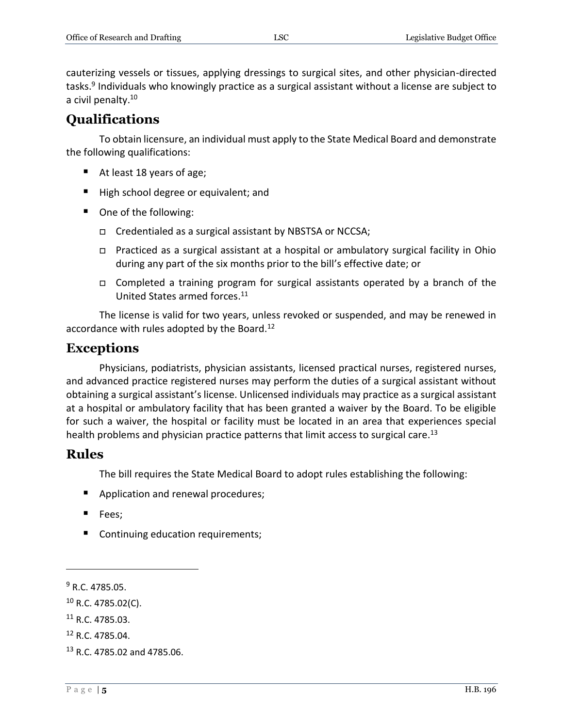cauterizing vessels or tissues, applying dressings to surgical sites, and other physician-directed tasks.<sup>9</sup> Individuals who knowingly practice as a surgical assistant without a license are subject to a civil penalty.<sup>10</sup>

#### **Qualifications**

To obtain licensure, an individual must apply to the State Medical Board and demonstrate the following qualifications:

- At least 18 years of age;
- High school degree or equivalent; and
- One of the following:
	- □ Credentialed as a surgical assistant by NBSTSA or NCCSA;
	- Practiced as a surgical assistant at a hospital or ambulatory surgical facility in Ohio during any part of the six months prior to the bill's effective date; or
	- □ Completed a training program for surgical assistants operated by a branch of the United States armed forces. 11

The license is valid for two years, unless revoked or suspended, and may be renewed in accordance with rules adopted by the Board.<sup>12</sup>

#### **Exceptions**

Physicians, podiatrists, physician assistants, licensed practical nurses, registered nurses, and advanced practice registered nurses may perform the duties of a surgical assistant without obtaining a surgical assistant's license. Unlicensed individuals may practice as a surgical assistant at a hospital or ambulatory facility that has been granted a waiver by the Board. To be eligible for such a waiver, the hospital or facility must be located in an area that experiences special health problems and physician practice patterns that limit access to surgical care.<sup>13</sup>

#### **Rules**

The bill requires the State Medical Board to adopt rules establishing the following:

- **Application and renewal procedures;**
- **Fees**;
- Continuing education requirements;

<sup>9</sup> R.C. 4785.05.

 $10$  R.C. 4785.02(C).

 $11$  R.C. 4785.03.

<sup>12</sup> R.C. 4785.04.

<sup>13</sup> R.C. 4785.02 and 4785.06.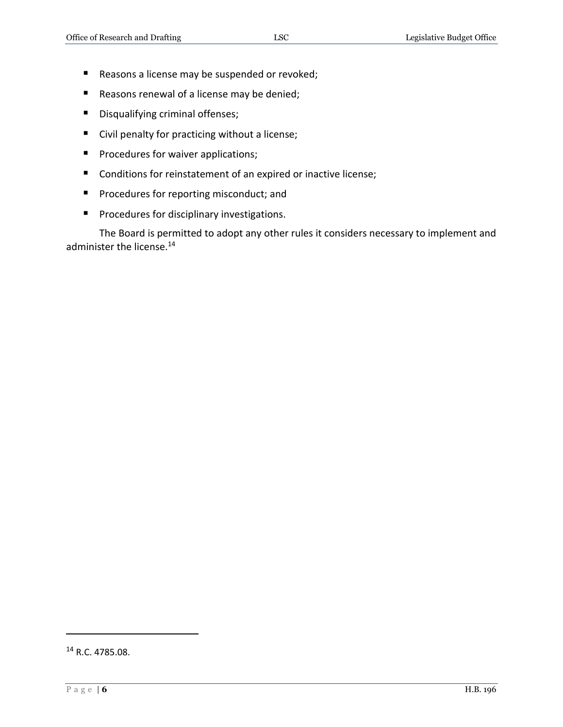- Reasons a license may be suspended or revoked;
- Reasons renewal of a license may be denied;
- **Disqualifying criminal offenses;**
- Civil penalty for practicing without a license;
- **Procedures for waiver applications;**
- Conditions for reinstatement of an expired or inactive license;
- **Procedures for reporting misconduct; and**
- **Procedures for disciplinary investigations.**

The Board is permitted to adopt any other rules it considers necessary to implement and administer the license.<sup>14</sup>

<sup>14</sup> R.C. 4785.08.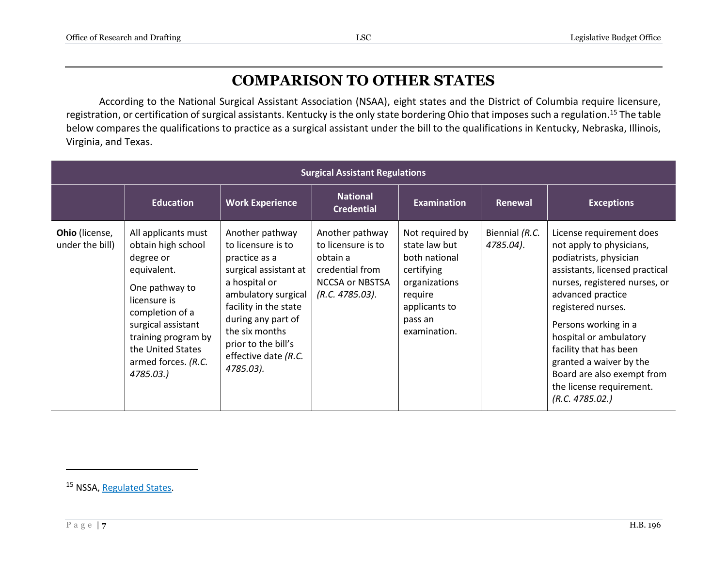# **COMPARISON TO OTHER STATES**

According to the National Surgical Assistant Association (NSAA), eight states and the District of Columbia require licensure, registration, or certification of surgical assistants. Kentucky is the only state bordering Ohio that imposes such a regulation.<sup>15</sup> The table below compares the qualifications to practice as a surgical assistant under the bill to the qualifications in Kentucky, Nebraska, Illinois, Virginia, and Texas.

| <b>Surgical Assistant Regulations</b> |                                                                                                                                                                                                                                  |                                                                                                                                                                                                                                                      |                                                                                                                   |                                                                                                                                         |                             |                                                                                                                                                                                                                                                                                                                                                                                  |
|---------------------------------------|----------------------------------------------------------------------------------------------------------------------------------------------------------------------------------------------------------------------------------|------------------------------------------------------------------------------------------------------------------------------------------------------------------------------------------------------------------------------------------------------|-------------------------------------------------------------------------------------------------------------------|-----------------------------------------------------------------------------------------------------------------------------------------|-----------------------------|----------------------------------------------------------------------------------------------------------------------------------------------------------------------------------------------------------------------------------------------------------------------------------------------------------------------------------------------------------------------------------|
|                                       | <b>Education</b>                                                                                                                                                                                                                 | <b>Work Experience</b>                                                                                                                                                                                                                               | <b>National</b><br><b>Credential</b>                                                                              | <b>Examination</b>                                                                                                                      | Renewal                     | <b>Exceptions</b>                                                                                                                                                                                                                                                                                                                                                                |
| Ohio (license,<br>under the bill)     | All applicants must<br>obtain high school<br>degree or<br>equivalent.<br>One pathway to<br>licensure is<br>completion of a<br>surgical assistant<br>training program by<br>the United States<br>armed forces. (R.C.<br>4785.03.) | Another pathway<br>to licensure is to<br>practice as a<br>surgical assistant at<br>a hospital or<br>ambulatory surgical<br>facility in the state<br>during any part of<br>the six months<br>prior to the bill's<br>effective date (R.C.<br>4785.03). | Another pathway<br>to licensure is to<br>obtain a<br>credential from<br><b>NCCSA or NBSTSA</b><br>(R.C. 4785.03). | Not required by<br>state law but<br>both national<br>certifying<br>organizations<br>require<br>applicants to<br>pass an<br>examination. | Biennial (R.C.<br>4785.04). | License requirement does<br>not apply to physicians,<br>podiatrists, physician<br>assistants, licensed practical<br>nurses, registered nurses, or<br>advanced practice<br>registered nurses.<br>Persons working in a<br>hospital or ambulatory<br>facility that has been<br>granted a waiver by the<br>Board are also exempt from<br>the license requirement.<br>(R.C. 4785.02.) |

<sup>15</sup> NSSA, [Regulated States.](https://www.nsaa.net/becoming-a-csa/)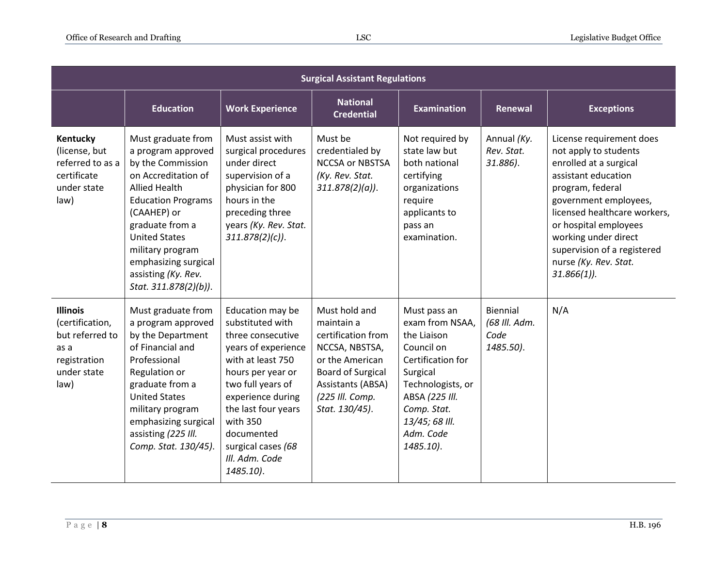| <b>Surgical Assistant Regulations</b>                                                                |                                                                                                                                                                                                                                                                                                 |                                                                                                                                                                                                                                                                            |                                                                                                                                                                              |                                                                                                                                                                                                 |                                                |                                                                                                                                                                                                                                                                                                            |
|------------------------------------------------------------------------------------------------------|-------------------------------------------------------------------------------------------------------------------------------------------------------------------------------------------------------------------------------------------------------------------------------------------------|----------------------------------------------------------------------------------------------------------------------------------------------------------------------------------------------------------------------------------------------------------------------------|------------------------------------------------------------------------------------------------------------------------------------------------------------------------------|-------------------------------------------------------------------------------------------------------------------------------------------------------------------------------------------------|------------------------------------------------|------------------------------------------------------------------------------------------------------------------------------------------------------------------------------------------------------------------------------------------------------------------------------------------------------------|
|                                                                                                      | <b>Education</b>                                                                                                                                                                                                                                                                                | <b>Work Experience</b>                                                                                                                                                                                                                                                     | <b>National</b><br><b>Credential</b>                                                                                                                                         | <b>Examination</b>                                                                                                                                                                              | Renewal                                        | <b>Exceptions</b>                                                                                                                                                                                                                                                                                          |
| Kentucky<br>(license, but<br>referred to as a<br>certificate<br>under state<br>law)                  | Must graduate from<br>a program approved<br>by the Commission<br>on Accreditation of<br><b>Allied Health</b><br><b>Education Programs</b><br>(CAAHEP) or<br>graduate from a<br><b>United States</b><br>military program<br>emphasizing surgical<br>assisting (Ky. Rev.<br>Stat. 311.878(2)(b)). | Must assist with<br>surgical procedures<br>under direct<br>supervision of a<br>physician for 800<br>hours in the<br>preceding three<br>years (Ky. Rev. Stat.<br>$311.878(2)(c)$ .                                                                                          | Must be<br>credentialed by<br><b>NCCSA or NBSTSA</b><br>(Ky. Rev. Stat.<br>$311.878(2)(a)$ .                                                                                 | Not required by<br>state law but<br>both national<br>certifying<br>organizations<br>require<br>applicants to<br>pass an<br>examination.                                                         | Annual (Ky.<br>Rev. Stat.<br>31.886).          | License requirement does<br>not apply to students<br>enrolled at a surgical<br>assistant education<br>program, federal<br>government employees,<br>licensed healthcare workers,<br>or hospital employees<br>working under direct<br>supervision of a registered<br>nurse (Ky. Rev. Stat.<br>$31.866(1)$ ). |
| <b>Illinois</b><br>(certification,<br>but referred to<br>as a<br>registration<br>under state<br>law) | Must graduate from<br>a program approved<br>by the Department<br>of Financial and<br>Professional<br>Regulation or<br>graduate from a<br><b>United States</b><br>military program<br>emphasizing surgical<br>assisting (225 III.<br>Comp. Stat. 130/45).                                        | Education may be<br>substituted with<br>three consecutive<br>years of experience<br>with at least 750<br>hours per year or<br>two full years of<br>experience during<br>the last four years<br>with 350<br>documented<br>surgical cases (68<br>III. Adm. Code<br>1485.10). | Must hold and<br>maintain a<br>certification from<br>NCCSA, NBSTSA,<br>or the American<br><b>Board of Surgical</b><br>Assistants (ABSA)<br>(225 Ill. Comp.<br>Stat. 130/45). | Must pass an<br>exam from NSAA,<br>the Liaison<br>Council on<br>Certification for<br>Surgical<br>Technologists, or<br>ABSA (225 III.<br>Comp. Stat.<br>13/45; 68 III.<br>Adm. Code<br>1485.10). | Biennial<br>(68 III. Adm.<br>Code<br>1485.50). | N/A                                                                                                                                                                                                                                                                                                        |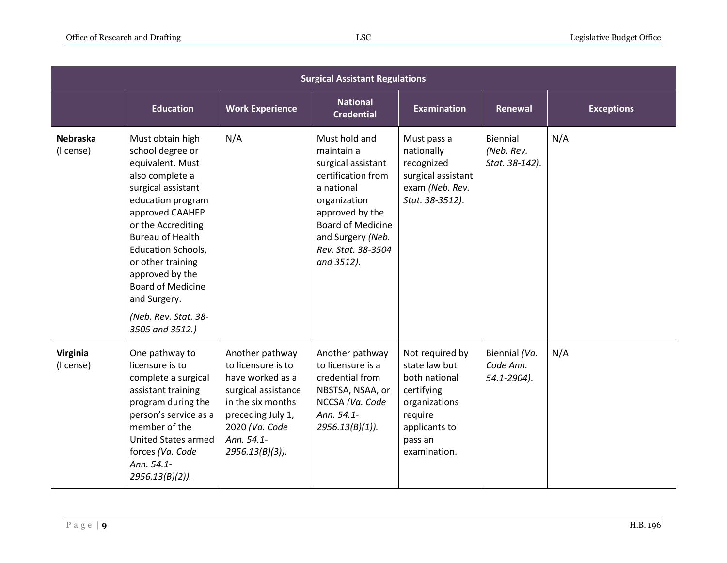| <b>Surgical Assistant Regulations</b> |                                                                                                                                                                                                                                                                                                                                                        |                                                                                                                                                                                  |                                                                                                                                                                                                               |                                                                                                                                         |                                           |                   |
|---------------------------------------|--------------------------------------------------------------------------------------------------------------------------------------------------------------------------------------------------------------------------------------------------------------------------------------------------------------------------------------------------------|----------------------------------------------------------------------------------------------------------------------------------------------------------------------------------|---------------------------------------------------------------------------------------------------------------------------------------------------------------------------------------------------------------|-----------------------------------------------------------------------------------------------------------------------------------------|-------------------------------------------|-------------------|
|                                       | <b>Education</b>                                                                                                                                                                                                                                                                                                                                       | <b>Work Experience</b>                                                                                                                                                           | <b>National</b><br><b>Credential</b>                                                                                                                                                                          | <b>Examination</b>                                                                                                                      | Renewal                                   | <b>Exceptions</b> |
| <b>Nebraska</b><br>(license)          | Must obtain high<br>school degree or<br>equivalent. Must<br>also complete a<br>surgical assistant<br>education program<br>approved CAAHEP<br>or the Accrediting<br><b>Bureau of Health</b><br><b>Education Schools,</b><br>or other training<br>approved by the<br><b>Board of Medicine</b><br>and Surgery.<br>(Neb. Rev. Stat. 38-<br>3505 and 3512.) | N/A                                                                                                                                                                              | Must hold and<br>maintain a<br>surgical assistant<br>certification from<br>a national<br>organization<br>approved by the<br><b>Board of Medicine</b><br>and Surgery (Neb.<br>Rev. Stat. 38-3504<br>and 3512). | Must pass a<br>nationally<br>recognized<br>surgical assistant<br>exam (Neb. Rev.<br>Stat. 38-3512).                                     | Biennial<br>(Neb. Rev.<br>Stat. 38-142).  | N/A               |
| Virginia<br>(license)                 | One pathway to<br>licensure is to<br>complete a surgical<br>assistant training<br>program during the<br>person's service as a<br>member of the<br><b>United States armed</b><br>forces (Va. Code<br>Ann. 54.1-<br>$2956.13(B)(2)$ ).                                                                                                                   | Another pathway<br>to licensure is to<br>have worked as a<br>surgical assistance<br>in the six months<br>preceding July 1,<br>2020 (Va. Code<br>Ann. 54.1-<br>$2956.13(B)(3)$ ). | Another pathway<br>to licensure is a<br>credential from<br>NBSTSA, NSAA, or<br>NCCSA (Va. Code<br>Ann. 54.1-<br>$2956.13(B)(1)$ ).                                                                            | Not required by<br>state law but<br>both national<br>certifying<br>organizations<br>require<br>applicants to<br>pass an<br>examination. | Biennial (Va.<br>Code Ann.<br>54.1-2904). | N/A               |